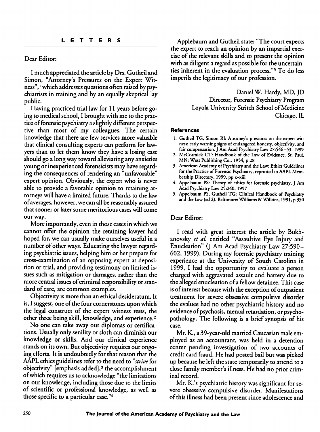#### Dear Editor:

I much appreciated the article by Drs. Gutheil and Simon, "Attorney's Pressures on the Expert Wit ness",<sup>1</sup> which addresses questions often raised by psychiatrists in training and by an equally skeptical lay public.

Having practiced trial law for 11 years before go ing to medical school, I brought with me to the practice of forensic psychiatry a slightly different perspective than most of my colleagues. The certain knowledge that there are few services more valuable that clinical consulting experts can perform for law yers than to let them know they have a losing case should go a long way toward alleviating any anxieties young or inexperienced forensicists mayhave regard ing the consequences of rendering an "unfavorable" expert opinion. Obviously, the expert who is never able to provide a favorable opinion to retaining at torneys will have a limited future. Thanks to the law of averages, however, we can all be reasonably assured that sooner or later some meritorious cases will come our way.

More importantly, even in those cases in which we cannot offer the opinion the retaining lawyer had hoped for, we can usually make ourselves useful in a number of other ways. Educating the lawyer regarding psychiatric issues, helping him or her prepare for cross-examination of an opposing expert at deposi tion or trial, and providing testimony on limited is sues such as mitigation or damages, rather than the more central issues of criminal responsibility or standard of care, are common examples.

Objectivity is more than an ethical desideratum. It is, I suggest, one of the four cornerstones upon which the legal construct of the expert witness rests, the other three being skill, knowledge, and experience.<sup>2</sup>

No one can take away our diplomas or certifica tions. Usuallyonly senilityor sloth can diminish our knowledge or skills. And our clinical experience stands on its own. But objectivity requires our ongoing efforts. It is undoubtedly for that reason that the AAPL ethics guidelines refer to the need to **"strive** for objectivity" [emphasis added], $<sup>3</sup>$  the accomplishment</sup> of which requires us to acknowledge "the limitations on our knowledge, including those due to the limits of scientific or professional knowledge, as well as those specific to a particular case."4

Applebaum and Gutheil state:"The court expects the expert to reach an opinion by an impartial exer cise of the relevant skills and to present the opinion with as diligent a regard as possible for the uncertainties inherent in the evaluation process."5 To do less imperils the legitimacy of our profession.

> Daniel W. Hardy, MD, JD Director, Forensic Psychiatry Program Loyola University Stritch School of Medicine Chicago, IL

#### *References*

- *1. Gutheil TG, Simon RI: Attorney's pressures on the expert wit ness:* early warning signs of endangered honesty, objectivity, and *fair compensation. J Am Acad Psychiatry Law27:546-53, 1999*
- *2. McCormick CT: Handbook of the Law of Evidence. St. Paul, MN: West Publishing Co., 1954,p 28*
- *3. AmericanAcademyofPsychiatry and the Law: EthicsGuidelines for thePractice of Forensic Psychiatry, reprinted in AAPL Mem bership Directory, 1999, pp x-xiii*
- *4. Appelbaum PS: Theory of ethics for forensic psychiatry. J Am Acad Psychiatry Law25:240, 1997*
- *5. Appelbaum PS, Gutheil TG: Clinical Handbook of Psychiatry andthe Law(cd 2). Baltimore: Williams& Wilkins, 1991,p 350*

### Dear Editor:

I read with great interest the article by Bukhanovsky **et al.** entitled "Assaultive Eye Injury and Enucleation" (J Am Acad Psychiatry Law 27:590-602, 1999). During my forensic psychiatry training experience at the University of South Carolina in 1999, I had the opportunity to evaluate a person charged with aggravated assault and battery due to the alleged enucleation of a fellow detainee. This case is of interest because with the exception of outpatient treatment for severe obsessive compulsive disorder the evaluee had no other psychiatric history and no evidence of psychosis, mental retardation, or psychopathology. The following is a brief synopsis of his case.

Mr. K., a 39-year-old married Caucasian male employed as an accountant, was held in a detention center pending investigation of two accounts of credit card fraud. He had posted bail but was picked up because he left the state temporarily to attend to a close family member's illness. He had no prior criminal record.

Mr. K.'s psychiatric history was significant for se vere obsessive compulsive disorder. Manifestations of this illness had been present since adolescence and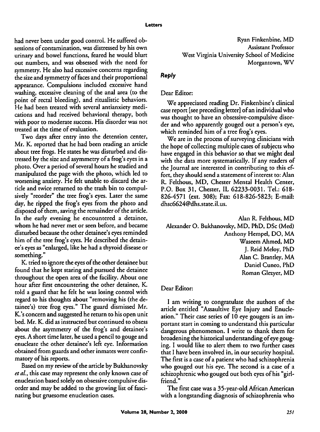had never been under good control. He suffered obsessions of contamination, was distressed by his own urinary and bowel functions, feared he would blurt out numbers, and was obsessed with the need for symmetry. He also had excessive concerns regarding the size and symmetry of faces and their proportional appearance. Compulsions included excessive hand washing, excessive cleaning of the anal area (to the point of rectal bleeding), and ritualistic behaviors. He had been treated with several antianxiety medi cations and had received behavioral therapy, both with poor to moderate success. His disorder was not treated at the time of evaluation.

Two days after entry into the detention center, Mr. K. reported that he had been reading an article about tree frogs. He states hewas disturbed and dis tressed bythe size and asymmetry of a frog's eyes in a photo. Over a period of several hours he studied and manipulated the page with the photo, which led to worsening anxiety. He felt unable to discard the ar ticle and twice returned to the trash bin to compul sively "reorder" the tree frog's eyes. Later the same day, he ripped the frog's eyes from the photo and disposed of them, saving the remainder of the article. In the early evening he encountered a detainee, whom he had never met or seen before, and became disturbed because the other detainee's eyes reminded him of the tree frog's eyes. He described the detain ee's eyes as "enlarged, like he had a thyroid disease or something."

K. tried to ignore the eyes of the other detainee but found that he kept staring and pursued the detainee throughout the open area of the facility. About one hour after first encountering the other detainee, K. told a guard that he felt he was losing control with regard to his thoughts about "removing his (the de tainee's) tree frog **eyes"** The guard dismissed Mr. K.'s concern and suggested he return to his open unit bed. Mr. K. did as instructed but continued to obsess about the asymmetry of the frog's and detainee's eyes. A short time later, he used a pencil to gouge and enucleate the other detainee's left eye. Information obtained from guards and other inmates were confirmatory of his reports.

Based on my review of the article by Bukhanovsky et al., this case may represent the only known case of enucleation based solely on obsessive compulsive disorder and may be added to the growing list of fascinating but gruesome enucleation cases.

## *Reply*

# Dear Editor:

We appreciated reading Dr. Finkenbine's clinical case report[see preceding letter] ofan individual who was thought to have an obsessive-compulsive disor der and who apparently gouged out a person's eye, which reminded him of a tree frog's eyes.

We are in the process of surveying clinicians with the hope of collecting multiple cases of subjects who have engaged in this behavior so that we might deal with the data more systematically. If any readers of the Journal are interested in contributing to this ef fort, they should send a statement of interest to: Alan R. Felthous, MD, Chester Mental Health Center, P.O. Box 31, Chester, IL 62233-0031. Tel.: 618- 826-4571 (ext. 308); Fax: 618-826-5823; E-mail: dhsc6624@dhs.state.il.us.

Alan R. Felthous, MD Alexander O. Bukhanovsky, MD, PhD, DSc (Med) Anthony Hempel, DO, MA Waseem Ahmed, MD J. Reid Meloy, PhD Alan C. Brantley, MA Daniel Cuneo, PhD Roman Glezyer, MD

# Dear Editor:

I am writing to congratulate the authors of the article entitled "Assaultive Eye Injury and Enucle ation." Their case series of 10 eye gougers is an im portant start in coming to understand this particular dangerous phenomenon. I write to thank them for broadening the historical understanding of eye gouging. I would like to alert them to two further cases that I have been involved in, in our security hospital. The first is a case of a patient who had schizophrenia who gouged out his eye. The second is a case of a schizophrenic who gouged out both eyes of his "girlfriend."

The first case was a 35-year-oldAfrican American with a longstanding diagnosis of schizophrenia who